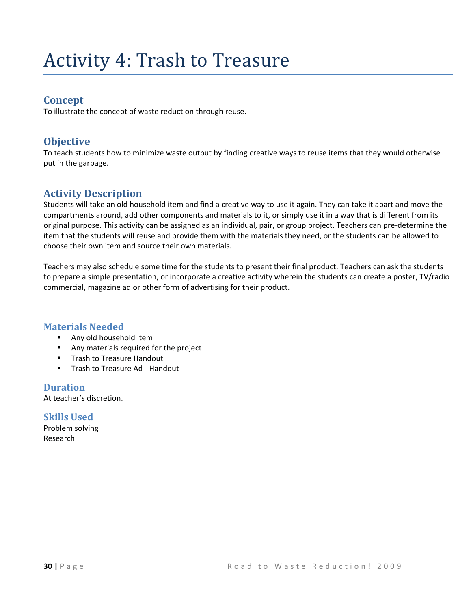# **Activity 4: Trash to Treasure**

#### **Concept**

To illustrate the concept of waste reduction through reuse.

### **Objective**

To teach students how to minimize waste output by finding creative ways to reuse items that they would otherwise put in the garbage.

### **Activity Description**

Students will take an old household item and find a creative way to use it again. They can take it apart and move the compartments around, add other components and materials to it, or simply use it in a way that is different from its original purpose. This activity can be assigned as an individual, pair, or group project. Teachers can pre-determine the item that the students will reuse and provide them with the materials they need, or the students can be allowed to choose their own item and source their own materials.

Teachers may also schedule some time for the students to present their final product. Teachers can ask the students to prepare a simple presentation, or incorporate a creative activity wherein the students can create a poster, TV/radio commercial, magazine ad or other form of advertising for their product.

#### **Materials Needed**

- **Any old household item**
- **Any materials required for the project**
- **Trash to Treasure Handout**
- **Trash to Treasure Ad Handout**

**Duration**  At teacher's discretion.

**Skills Used**  Problem solving Research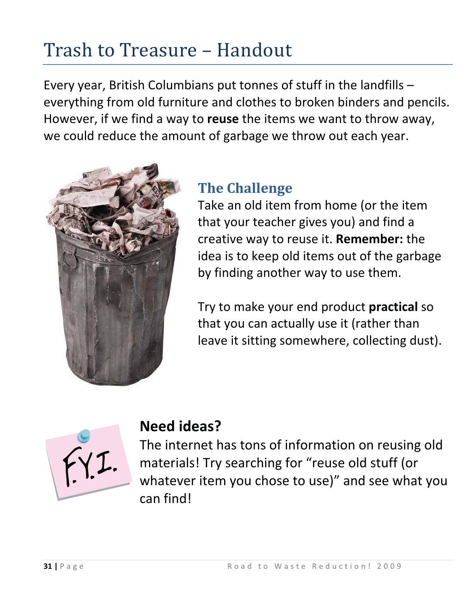# Trash to Treasure - Handout

Every year, British Columbians put tonnes of stuff in the landfills – everything from old furniture and clothes to broken binders and pencils. However, if we find a way to **reuse** the items we want to throw away, we could reduce the amount of garbage we throw out each year.



## **The Challenge**

Take an old item from home (or the item that your teacher gives you) and find a creative way to reuse it. **Remember:** the idea is to keep old items out of the garbage by finding another way to use them.

Try to make your end product **practical** so that you can actually use it (rather than leave it sitting somewhere, collecting dust).



### **Need ideas?**

The internet has tons of information on reusing old materials! Try searching for "reuse old stuff (or whatever item you chose to use)" and see what you can find!